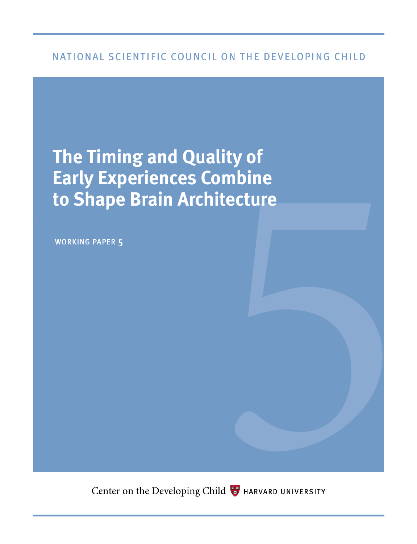## NATIONAL SCIENTIFIC COUNCIL ON THE DEVELOPING CHILD

# **Lity of<br>Indine<br>India<br>Start of the Conduct of the Conduct of the Conduct of the Conduct of the Conduct of the Conduct of the Conduct of the Conduct of the Conduct of Test<br>Conduct of the Conduct of the Conduct of the Conduc The Timing and Quality of Early Experiences Combine to Shape Brain Architecture**

working paper 5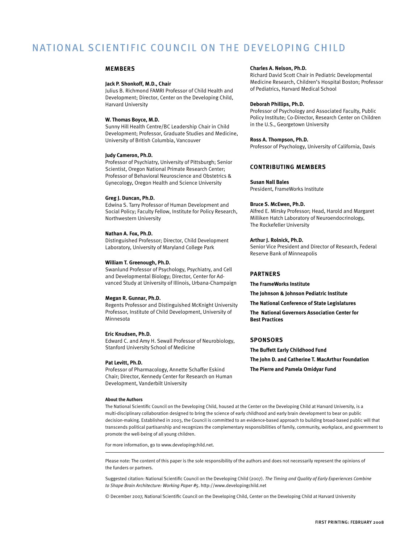## NATIONAL SCIENTIFIC COUNCIL ON THE DEVELOPING CHILD

#### **members**

#### **Jack P. Shonkoff, M.D., Chair**

Julius B. Richmond FAMRI Professor of Child Health and Development; Director, Center on the Developing Child, Harvard University

#### **W. Thomas Boyce, M.D.**

Sunny Hill Health Centre/BC Leadership Chair in Child Development; Professor, Graduate Studies and Medicine, University of British Columbia, Vancouver

#### **Judy Cameron, Ph.D.**

Professor of Psychiatry, University of Pittsburgh; Senior Scientist, Oregon National Primate Research Center; Professor of Behavioral Neuroscience and Obstetrics & Gynecology, Oregon Health and Science University

#### **Greg J. Duncan, Ph.D.**

Edwina S. Tarry Professor of Human Development and Social Policy; Faculty Fellow, Institute for Policy Research, Northwestern University

#### **Nathan A. Fox, Ph.D.**

Distinguished Professor; Director, Child Development Laboratory, University of Maryland College Park

#### **William T. Greenough, Ph.D.**

Swanlund Professor of Psychology, Psychiatry, and Cell and Developmental Biology; Director, Center for Advanced Study at University of Illinois, Urbana-Champaign

#### **Megan R. Gunnar, Ph.D.**

Regents Professor and Distinguished McKnight University Professor, Institute of Child Development, University of Minnesota

#### **Eric Knudsen, Ph.D.**

Edward C. and Amy H. Sewall Professor of Neurobiology, Stanford University School of Medicine

#### **Pat Levitt, Ph.D.**

Professor of Pharmacology, Annette Schaffer Eskind Chair; Director, Kennedy Center for Research on Human Development, Vanderbilt University

#### **About the Authors**

#### **Charles A. Nelson, Ph.D.**

Richard David Scott Chair in Pediatric Developmental Medicine Research, Children's Hospital Boston; Professor of Pediatrics, Harvard Medical School

#### **Deborah Phillips, Ph.D.**

Professor of Psychology and Associated Faculty, Public Policy Institute; Co-Director, Research Center on Children in the U.S., Georgetown University

#### **Ross A. Thompson, Ph.D.**

Professor of Psychology, University of California, Davis

## **contributing members**

#### **Susan Nall Bales**

President, FrameWorks Institute

#### **Bruce S. McEwen, Ph.D.**

Alfred E. Mirsky Professor; Head, Harold and Margaret Milliken Hatch Laboratory of Neuroendocrinology, The Rockefeller University

#### **Arthur J. Rolnick, Ph.D.**

Senior Vice President and Director of Research, Federal Reserve Bank of Minneapolis

#### **partners**

**The FrameWorks Institute**

**The Johnson & Johnson Pediatric Institute**

**The National Conference of State Legislatures**

**The National Governors Association Center for Best Practices**

## **sponsors**

**The Buffett Early Childhood Fund The John D. and Catherine T. MacArthur Foundation**

**The Pierre and Pamela Omidyar Fund**

The National Scientific Council on the Developing Child, housed at the Center on the Developing Child at Harvard University, is a multi-disciplinary collaboration designed to bring the science of early childhood and early brain development to bear on public decision-making. Established in 2003, the Council is committed to an evidence-based approach to building broad-based public will that transcends political partisanship and recognizes the complementary responsibilities of family, community, workplace, and government to promote the well-being of all young children.

For more information, go to www.developingchild.net.

Please note: The content of this paper is the sole responsibility of the authors and does not necessarily represent the opinions of the funders or partners.

Suggested citation: National Scientific Council on the Developing Child (2007). *The Timing and Quality of Early Experiences Combine to Shape Brain Architecture: Working Paper #5*. http://www.developingchild.net

© December 2007, National Scientific Council on the Developing Child, Center on the Developing Child at Harvard University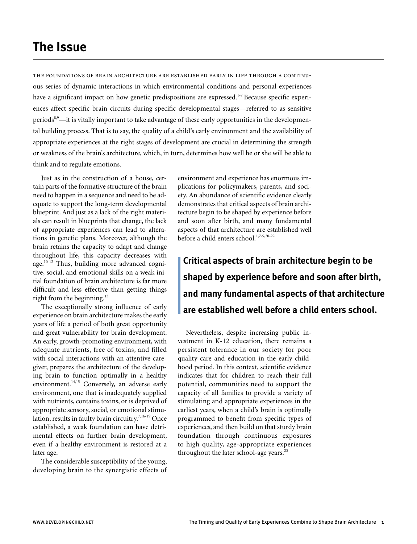# **The Issue**

the foundations of brain architecture are established early in life through a continuous series of dynamic interactions in which environmental conditions and personal experiences have a significant impact on how genetic predispositions are expressed.<sup>1-7</sup> Because specific experiences affect specific brain circuits during specific developmental stages—referred to as sensitive periods<sup>8,9</sup>—it is vitally important to take advantage of these early opportunities in the developmental building process. That is to say, the quality of a child's early environment and the availability of appropriate experiences at the right stages of development are crucial in determining the strength or weakness of the brain's architecture, which, in turn, determines how well he or she will be able to think and to regulate emotions.

Just as in the construction of a house, certain parts of the formative structure of the brain need to happen in a sequence and need to be adequate to support the long-term developmental blueprint. And just as a lack of the right materials can result in blueprints that change, the lack of appropriate experiences can lead to alterations in genetic plans. Moreover, although the brain retains the capacity to adapt and change throughout life, this capacity decreases with age.<sup>10-12</sup> Thus, building more advanced cognitive, social, and emotional skills on a weak initial foundation of brain architecture is far more difficult and less effective than getting things right from the beginning. $^{13}$ 

The exceptionally strong influence of early experience on brain architecture makes the early years of life a period of both great opportunity and great vulnerability for brain development. An early, growth-promoting environment, with adequate nutrients, free of toxins, and filled with social interactions with an attentive caregiver, prepares the architecture of the developing brain to function optimally in a healthy environment.<sup>14,15</sup> Conversely, an adverse early environment, one that is inadequately supplied with nutrients, contains toxins, or is deprived of appropriate sensory, social, or emotional stimulation, results in faulty brain circuitry.<sup>7,16-19</sup> Once established, a weak foundation can have detrimental effects on further brain development, even if a healthy environment is restored at a later age.

The considerable susceptibility of the young, developing brain to the synergistic effects of environment and experience has enormous implications for policymakers, parents, and society. An abundance of scientific evidence clearly demonstrates that critical aspects of brain architecture begin to be shaped by experience before and soon after birth, and many fundamental aspects of that architecture are established well before a child enters school.<sup>1,7-9,20-22</sup>

**Critical aspects of brain architecture begin to be shaped by experience before and soon after birth, and many fundamental aspects of that architecture are established well before a child enters school.**

Nevertheless, despite increasing public investment in K-12 education, there remains a persistent tolerance in our society for poor quality care and education in the early childhood period. In this context, scientific evidence indicates that for children to reach their full potential, communities need to support the capacity of all families to provide a variety of stimulating and appropriate experiences in the earliest years, when a child's brain is optimally programmed to benefit from specific types of experiences, and then build on that sturdy brain foundation through continuous exposures to high quality, age-appropriate experiences throughout the later school-age years. $^{23}$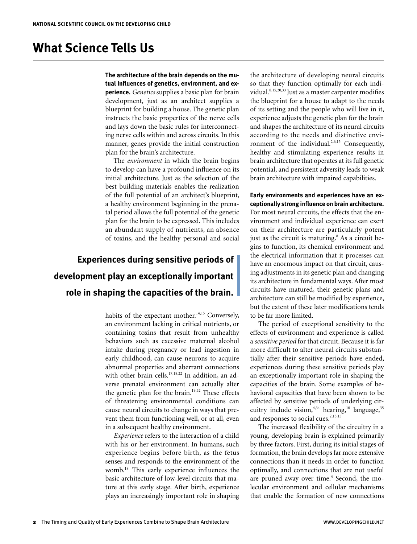# **What Science Tells Us**

**The architecture of the brain depends on the mutual influences of genetics, environment, and experience.** *Genetics* supplies a basic plan for brain development, just as an architect supplies a blueprint for building a house. The genetic plan instructs the basic properties of the nerve cells and lays down the basic rules for interconnecting nerve cells within and across circuits. In this manner, genes provide the initial construction plan for the brain's architecture.

The *environment* in which the brain begins to develop can have a profound influence on its initial architecture. Just as the selection of the best building materials enables the realization of the full potential of an architect's blueprint, a healthy environment beginning in the prenatal period allows the full potential of the genetic plan for the brain to be expressed. This includes an abundant supply of nutrients, an absence of toxins, and the healthy personal and social

# **Experiences during sensitive periods of development play an exceptionally important role in shaping the capacities of the brain.**

habits of the expectant mother. $14,15$  Conversely, an environment lacking in critical nutrients, or containing toxins that result from unhealthy behaviors such as excessive maternal alcohol intake during pregnancy or lead ingestion in early childhood, can cause neurons to acquire abnormal properties and aberrant connections with other brain cells.<sup>17,18,22</sup> In addition, an adverse prenatal environment can actually alter the genetic plan for the brain.<sup>19,32</sup> These effects of threatening environmental conditions can cause neural circuits to change in ways that prevent them from functioning well, or at all, even in a subsequent healthy environment.

*Experience* refers to the interaction of a child with his or her environment. In humans, such experience begins before birth, as the fetus senses and responds to the environment of the womb.18 This early experience influences the basic architecture of low-level circuits that mature at this early stage. After birth, experience plays an increasingly important role in shaping the architecture of developing neural circuits so that they function optimally for each individual.8,15,20,33 Just as a master carpenter modifies the blueprint for a house to adapt to the needs of its setting and the people who will live in it, experience adjusts the genetic plan for the brain and shapes the architecture of its neural circuits according to the needs and distinctive environment of the individual.<sup>2,6,15</sup> Consequently, healthy and stimulating experience results in brain architecture that operates at its full genetic potential, and persistent adversity leads to weak brain architecture with impaired capabilities.

**Early environments and experiences have an exceptionally strong influence on brain architecture.** For most neural circuits, the effects that the environment and individual experience can exert on their architecture are particularly potent just as the circuit is maturing.<sup>8</sup> As a circuit begins to function, its chemical environment and the electrical information that it processes can have an enormous impact on that circuit, causing adjustments in its genetic plan and changing its architecture in fundamental ways. After most circuits have matured, their genetic plans and architecture can still be modified by experience, but the extent of these later modifications tends to be far more limited.

The period of exceptional sensitivity to the effects of environment and experience is called a *sensitive period* for that circuit. Because it is far more difficult to alter neural circuits substantially after their sensitive periods have ended, experiences during these sensitive periods play an exceptionally important role in shaping the capacities of the brain. Some examples of behavioral capacities that have been shown to be affected by sensitive periods of underlying circuitry include vision,<sup>4,34</sup> hearing,<sup>10</sup> language,<sup>35</sup> and responses to social cues.<sup>2,13,15</sup>

The increased flexibility of the circuitry in a young, developing brain is explained primarily by three factors. First, during its initial stages of formation, the brain develops far more extensive connections than it needs in order to function optimally, and connections that are not useful are pruned away over time.<sup>4</sup> Second, the molecular environment and cellular mechanisms that enable the formation of new connections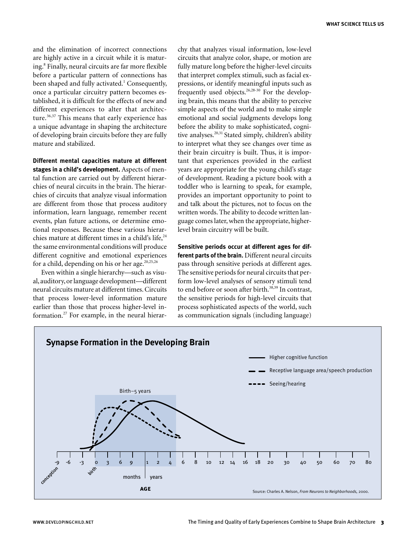and the elimination of incorrect connections are highly active in a circuit while it is maturing.<sup>8</sup> Finally, neural circuits are far more flexible before a particular pattern of connections has been shaped and fully activated.<sup>1</sup> Consequently, once a particular circuitry pattern becomes established, it is difficult for the effects of new and different experiences to alter that architecture.<sup>36,37</sup> This means that early experience has a unique advantage in shaping the architecture of developing brain circuits before they are fully mature and stabilized.

**Different mental capacities mature at different stages in a child's development.** Aspects of mental function are carried out by different hierarchies of neural circuits in the brain. The hierarchies of circuits that analyze visual information are different from those that process auditory information, learn language, remember recent events, plan future actions, or determine emotional responses. Because these various hierarchies mature at different times in a child's life,<sup>24</sup> the same environmental conditions will produce different cognitive and emotional experiences for a child, depending on his or her age. $20,25,26$ 

Even within a single hierarchy—such as visual, auditory, or language development—different neural circuits mature at different times. Circuits that process lower-level information mature earlier than those that process higher-level information.27 For example, in the neural hierarchy that analyzes visual information, low-level circuits that analyze color, shape, or motion are fully mature long before the higher-level circuits that interpret complex stimuli, such as facial expressions, or identify meaningful inputs such as frequently used objects.  $26,28-30$  For the developing brain, this means that the ability to perceive simple aspects of the world and to make simple emotional and social judgments develops long before the ability to make sophisticated, cognitive analyses.<sup>20,31</sup> Stated simply, children's ability to interpret what they see changes over time as their brain circuitry is built. Thus, it is important that experiences provided in the earliest years are appropriate for the young child's stage of development. Reading a picture book with a toddler who is learning to speak, for example, provides an important opportunity to point to and talk about the pictures, not to focus on the written words. The ability to decode written language comes later, when the appropriate, higherlevel brain circuitry will be built.

**Sensitive periods occur at different ages for different parts of the brain.** Different neural circuits pass through sensitive periods at different ages. The sensitive periods for neural circuits that perform low-level analyses of sensory stimuli tend to end before or soon after birth.<sup>38,39</sup> In contrast, the sensitive periods for high-level circuits that process sophisticated aspects of the world, such as communication signals (including language)

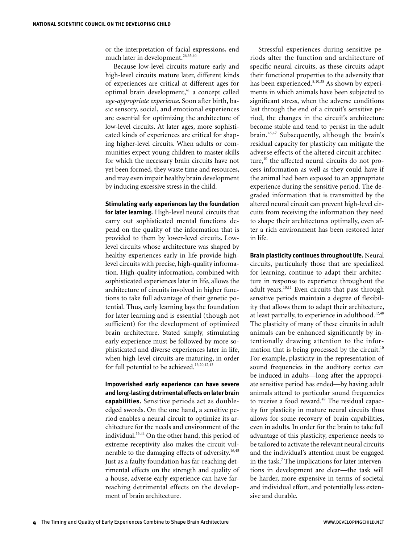or the interpretation of facial expressions, end much later in development.<sup>26,35,40</sup>

Because low-level circuits mature early and high-level circuits mature later, different kinds of experiences are critical at different ages for optimal brain development,<sup>41</sup> a concept called *age-appropriate experience*. Soon after birth, basic sensory, social, and emotional experiences are essential for optimizing the architecture of low-level circuits. At later ages, more sophisticated kinds of experiences are critical for shaping higher-level circuits. When adults or communities expect young children to master skills for which the necessary brain circuits have not yet been formed, they waste time and resources, and may even impair healthy brain development by inducing excessive stress in the child.

## **Stimulating early experiences lay the foundation**

**for later learning.** High-level neural circuits that carry out sophisticated mental functions depend on the quality of the information that is provided to them by lower-level circuits. Lowlevel circuits whose architecture was shaped by healthy experiences early in life provide highlevel circuits with precise, high-quality information. High-quality information, combined with sophisticated experiences later in life, allows the architecture of circuits involved in higher functions to take full advantage of their genetic potential. Thus, early learning lays the foundation for later learning and is essential (though not sufficient) for the development of optimized brain architecture. Stated simply, stimulating early experience must be followed by more sophisticated and diverse experiences later in life, when high-level circuits are maturing, in order for full potential to be achieved.<sup>13,20,42,43</sup>

**Impoverished early experience can have severe and long-lasting detrimental effects on later brain capabilities.** Sensitive periods act as doubleedged swords. On the one hand, a sensitive period enables a neural circuit to optimize its architecture for the needs and environment of the individual.<sup>33,44</sup> On the other hand, this period of extreme receptivity also makes the circuit vulnerable to the damaging effects of adversity.<sup>16,45</sup> Just as a faulty foundation has far-reaching detrimental effects on the strength and quality of a house, adverse early experience can have farreaching detrimental effects on the development of brain architecture.

Stressful experiences during sensitive periods alter the function and architecture of specific neural circuits, as these circuits adapt their functional properties to the adversity that has been experienced.<sup>8,10,38</sup> As shown by experiments in which animals have been subjected to significant stress, when the adverse conditions last through the end of a circuit's sensitive period, the changes in the circuit's architecture become stable and tend to persist in the adult brain.46,47 Subsequently, although the brain's residual capacity for plasticity can mitigate the adverse effects of the altered circuit architecture, $^{10}$  the affected neural circuits do not process information as well as they could have if the animal had been exposed to an appropriate experience during the sensitive period. The degraded information that is transmitted by the altered neural circuit can prevent high-level circuits from receiving the information they need to shape their architectures optimally, even after a rich environment has been restored later in life.

**Brain plasticity continues throughout life.** Neural circuits, particularly those that are specialized for learning, continue to adapt their architecture in response to experience throughout the adult years.<sup>10,11</sup> Even circuits that pass through sensitive periods maintain a degree of flexibility that allows them to adapt their architecture, at least partially, to experience in adulthood.<sup>12,48</sup> The plasticity of many of these circuits in adult animals can be enhanced significantly by intentionally drawing attention to the information that is being processed by the circuit.<sup>10</sup> For example, plasticity in the representation of sound frequencies in the auditory cortex can be induced in adults—long after the appropriate sensitive period has ended—by having adult animals attend to particular sound frequencies to receive a food reward.<sup>49</sup> The residual capacity for plasticity in mature neural circuits thus allows for some recovery of brain capabilities, even in adults. In order for the brain to take full advantage of this plasticity, experience needs to be tailored to activate the relevant neural circuits and the individual's attention must be engaged in the task.<sup>7</sup> The implications for later interventions in development are clear—the task will be harder, more expensive in terms of societal and individual effort, and potentially less extensive and durable.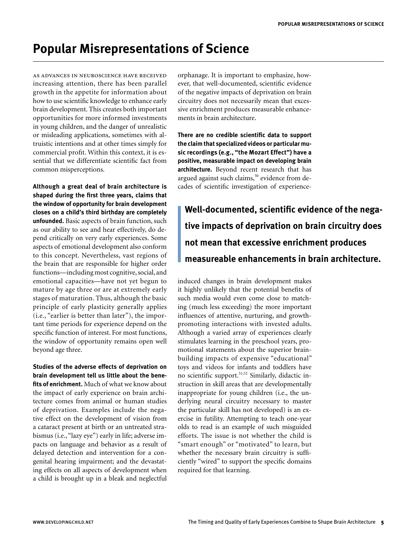# **Popular Misrepresentations of Science**

as advances in neuroscience have received increasing attention, there has been parallel growth in the appetite for information about how to use scientific knowledge to enhance early brain development. This creates both important opportunities for more informed investments in young children, and the danger of unrealistic or misleading applications, sometimes with altruistic intentions and at other times simply for commercial profit. Within this context, it is essential that we differentiate scientific fact from common misperceptions.

**Although a great deal of brain architecture is shaped during the first three years, claims that the window of opportunity for brain development closes on a child's third birthday are completely unfounded.** Basic aspects of brain function, such as our ability to see and hear effectively, do depend critically on very early experiences. Some aspects of emotional development also conform to this concept. Nevertheless, vast regions of the brain that are responsible for higher order functions—including most cognitive, social, and emotional capacities—have not yet begun to mature by age three or are at extremely early stages of maturation. Thus, although the basic principle of early plasticity generally applies (i.e., "earlier is better than later"), the important time periods for experience depend on the specific function of interest. For most functions, the window of opportunity remains open well beyond age three.

**Studies of the adverse effects of deprivation on brain development tell us little about the benefits of enrichment.** Much of what we know about the impact of early experience on brain architecture comes from animal or human studies of deprivation. Examples include the negative effect on the development of vision from a cataract present at birth or an untreated strabismus (i.e., "lazy eye") early in life; adverse impacts on language and behavior as a result of delayed detection and intervention for a congenital hearing impairment; and the devastating effects on all aspects of development when a child is brought up in a bleak and neglectful

orphanage. It is important to emphasize, however, that well-documented, scientific evidence of the negative impacts of deprivation on brain circuitry does not necessarily mean that excessive enrichment produces measurable enhancements in brain architecture.

**There are no credible scientific data to support the claim that specialized videos or particular music recordings (e.g., "the Mozart Effect") have a positive, measurable impact on developing brain architecture.** Beyond recent research that has argued against such claims,<sup>50</sup> evidence from decades of scientific investigation of experience-

**Well-documented, scientific evidence of the negative impacts of deprivation on brain circuitry does not mean that excessive enrichment produces measureable enhancements in brain architecture.**

induced changes in brain development makes it highly unlikely that the potential benefits of such media would even come close to matching (much less exceeding) the more important influences of attentive, nurturing, and growthpromoting interactions with invested adults. Although a varied array of experiences clearly stimulates learning in the preschool years, promotional statements about the superior brainbuilding impacts of expensive "educational" toys and videos for infants and toddlers have no scientific support.<sup>51,52</sup> Similarly, didactic instruction in skill areas that are developmentally inappropriate for young children (i.e., the underlying neural circuitry necessary to master the particular skill has not developed) is an exercise in futility. Attempting to teach one-year olds to read is an example of such misguided efforts. The issue is not whether the child is "smart enough" or "motivated" to learn, but whether the necessary brain circuitry is sufficiently "wired" to support the specific domains required for that learning.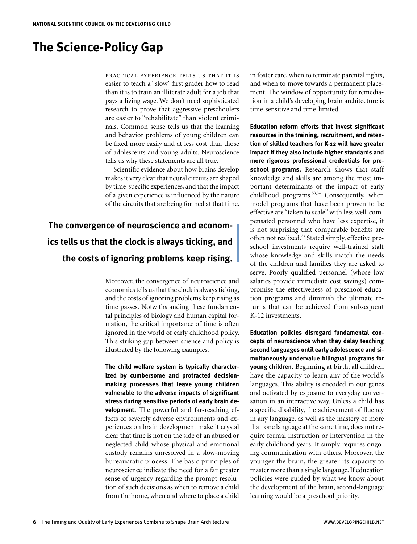# **The Science-Policy Gap**

practical experience tells us that it is easier to teach a "slow" first grader how to read than it is to train an illiterate adult for a job that pays a living wage. We don't need sophisticated research to prove that aggressive preschoolers are easier to "rehabilitate" than violent criminals. Common sense tells us that the learning and behavior problems of young children can be fixed more easily and at less cost than those of adolescents and young adults. Neuroscience tells us why these statements are all true.

Scientific evidence about how brains develop makes it very clear that neural circuits are shaped by time-specific experiences, and that the impact of a given experience is influenced by the nature of the circuits that are being formed at that time.

# **The convergence of neuroscience and economics tells us that the clock is always ticking, and the costs of ignoring problems keep rising.**

Moreover, the convergence of neuroscience and economics tells us that the clock is always ticking, and the costs of ignoring problems keep rising as time passes. Notwithstanding these fundamental principles of biology and human capital formation, the critical importance of time is often ignored in the world of early childhood policy. This striking gap between science and policy is illustrated by the following examples.

**The child welfare system is typically characterized by cumbersome and protracted decisionmaking processes that leave young children vulnerable to the adverse impacts of significant stress during sensitive periods of early brain development.** The powerful and far-reaching effects of severely adverse environments and experiences on brain development make it crystal clear that time is not on the side of an abused or neglected child whose physical and emotional custody remains unresolved in a slow-moving bureaucratic process. The basic principles of neuroscience indicate the need for a far greater sense of urgency regarding the prompt resolution of such decisions as when to remove a child from the home, when and where to place a child in foster care, when to terminate parental rights, and when to move towards a permanent placement. The window of opportunity for remediation in a child's developing brain architecture is time-sensitive and time-limited.

**Education reform efforts that invest significant resources in the training, recruitment, and retention of skilled teachers for K-12 will have greater impact if they also include higher standards and more rigorous professional credentials for preschool programs.** Research shows that staff knowledge and skills are among the most important determinants of the impact of early childhood programs.<sup>53,54</sup> Consequently, when model programs that have been proven to be effective are "taken to scale" with less well-compensated personnel who have less expertise, it is not surprising that comparable benefits are often not realized.<sup>23</sup> Stated simply, effective preschool investments require well-trained staff whose knowledge and skills match the needs of the children and families they are asked to serve. Poorly qualified personnel (whose low salaries provide immediate cost savings) compromise the effectiveness of preschool education programs and diminish the ultimate returns that can be achieved from subsequent K-12 investments.

**Education policies disregard fundamental concepts of neuroscience when they delay teaching second languages until early adolescence and simultaneously undervalue bilingual programs for young children.** Beginning at birth, all children have the capacity to learn any of the world's languages. This ability is encoded in our genes and activated by exposure to everyday conversation in an interactive way. Unless a child has a specific disability, the achievement of fluency in any language, as well as the mastery of more than one language at the same time, does not require formal instruction or intervention in the early childhood years. It simply requires ongoing communication with others. Moreover, the younger the brain, the greater its capacity to master more than a single langauge. If education policies were guided by what we know about the development of the brain, second-language learning would be a preschool priority.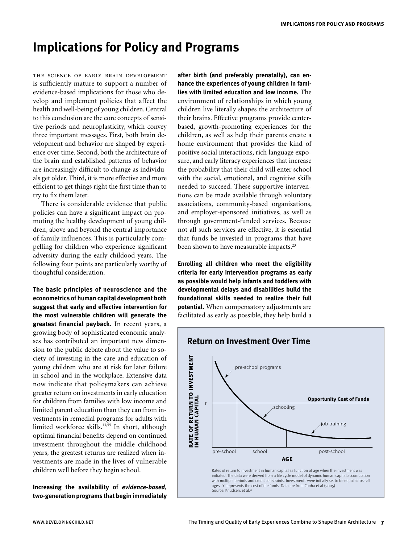# **Implications for Policy and Programs**

the science of early brain development is sufficiently mature to support a number of evidence-based implications for those who develop and implement policies that affect the health and well-being of young children. Central to this conclusion are the core concepts of sensitive periods and neuroplasticity, which convey three important messages. First, both brain development and behavior are shaped by experience over time. Second, both the architecture of the brain and established patterns of behavior are increasingly difficult to change as individuals get older. Third, it is more effective and more efficient to get things right the first time than to try to fix them later.

There is considerable evidence that public policies can have a significant impact on promoting the healthy development of young children, above and beyond the central importance of family influences. This is particularly compelling for children who experience significant adversity during the early childood years. The following four points are particularly worthy of thoughtful consideration.

**The basic principles of neuroscience and the econometrics of human capital development both suggest that early and effective intervention for the most vulnerable children will generate the greatest financial payback.** In recent years, a growing body of sophisticated economic analyses has contributed an important new dimension to the public debate about the value to society of investing in the care and education of young children who are at risk for later failure in school and in the workplace. Extensive data now indicate that policymakers can achieve greater return on investments in early education for children from families with low income and limited parent education than they can from investments in remedial programs for adults with limited workforce skills.<sup>13,55</sup> In short, although optimal financial benefits depend on continued investment throughout the middle childhood years, the greatest returns are realized when investments are made in the lives of vulnerable children well before they begin school.

**Increasing the availability of** *evidence-based***, two-generation programs that begin immediately**  **after birth (and preferably prenatally), can enhance the experiences of young children in families with limited education and low income.** The environment of relationships in which young children live literally shapes the architecture of their brains. Effective programs provide centerbased, growth-promoting experiences for the children, as well as help their parents create a home environment that provides the kind of positive social interactions, rich language exposure, and early literacy experiences that increase the probability that their child will enter school with the social, emotional, and cognitive skills needed to succeed. These supportive interventions can be made available through voluntary associations, community-based organizations, and employer-sponsored initiatives, as well as through government-funded services. Because not all such services are effective, it is essential that funds be invested in programs that have been shown to have measurable impacts.<sup>23</sup>

**Enrolling all children who meet the eligibility criteria for early intervention programs as early as possible would help infants and toddlers with developmental delays and disabilities build the foundational skills needed to realize their full potential.** When compensatory adjustments are facilitated as early as possible, they help build a

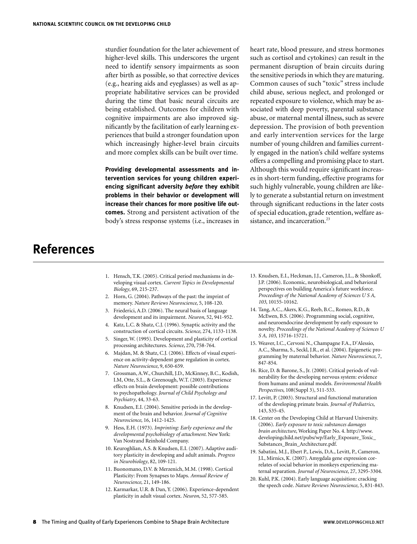sturdier foundation for the later achievement of higher-level skills. This underscores the urgent need to identify sensory impairments as soon after birth as possible, so that corrective devices (e.g., hearing aids and eyeglasses) as well as appropriate habilitative services can be provided during the time that basic neural circuits are being established. Outcomes for children with cognitive impairments are also improved significantly by the facilitation of early learning experiences that build a stronger foundation upon which increasingly higher-level brain circuits and more complex skills can be built over time.

**Providing developmental assessments and intervention services for young children experiencing significant adversity** *before* **they exhibit problems in their behavior or development will increase their chances for more positive life outcomes.** Strong and persistent activation of the body's stress response systems (i.e., increases in

heart rate, blood pressure, and stress hormones such as cortisol and cytokines) can result in the permanent disruption of brain circuits during the sensitive periods in which they are maturing. Common causes of such "toxic" stress include child abuse, serious neglect, and prolonged or repeated exposure to violence, which may be associated with deep poverty, parental substance abuse, or maternal mental illness, such as severe depression. The provision of both prevention and early intervention services for the large number of young children and families currently engaged in the nation's child welfare systems offers a compelling and promising place to start. Although this would require significant increases in short-term funding, effective programs for such highly vulnerable, young children are likely to generate a substantial return on investment through significant reductions in the later costs of special education, grade retention, welfare assistance, and incarceration.<sup>23</sup>

# **References**

- 1. Hensch, T.K. (2005). Critical period mechanisms in developing visual cortex. *Current Topics in Developmental Biology*, 69, 215-237.
- 2. Horn, G. (2004). Pathways of the past: the imprint of memory. *Nature Reviews Neuroscience*, 5, 108-120.
- 3. Friederici, A.D. (2006). The neural basis of language development and its impairment. *Neuron*, 52, 941-952.
- 4. Katz, L.C. & Shatz, C.J. (1996). Synaptic activity and the construction of cortical circuits. *Science*, 274, 1133-1138.
- 5. Singer, W. (1995). Development and plasticity of cortical processing architectures. *Science*, 270, 758-764.
- 6. Majdan, M. & Shatz, C.J. (2006). Effects of visual experience on activity-dependent gene regulation in cortex. *Nature Neuroscience*, 9, 650-659.
- 7. Grossman, A.W., Churchill, J.D., McKinney, B.C., Kodish, I.M, Otte, S.L., & Greenough, W.T. (2003). Experience effects on brain development: possible contributions to psychopathology. *Journal of Child Psychology and Psychiatry*, 44, 33-63.
- 8. Knudsen, E.I. (2004). Sensitive periods in the development of the brain and behavior. *Journal of Cognitive Neuroscience*, 16, 1412-1425.
- 9. Hess, E.H. (1973). *Imprinting: Early experience and the developmental psychobiology of attachment*. New York: Van Nostrand Reinhold Company.
- 10. Keuroghlian, A.S. & Knudsen, E.I. (2007). Adaptive auditory plasticity in developing and adult animals. *Progress in Neurobiology*, 82, 109-121.
- 11. Buonomano, D.V. & Merzenich, M.M. (1998). Cortical Plasticity: From Synapses to Maps. *Annual Review of Neuroscience*, 21, 149-186.
- 12. Karmarkar, U.R. & Dan, Y. (2006). Experience-dependent plasticity in adult visual cortex. *Neuron*, 52, 577-585.
- 13. Knudsen, E.I., Heckman, J.J., Cameron, J.L., & Shonkoff, J.P. (2006). Economic, neurobiological, and behavioral perspectives on building America's future workforce. *Proceedings of the National Academy of Sciences U S A, 103*, 10155-10162.
- 14. Tang, A.C., Akers, K.G., Reeb, B.C., Romeo, R.D., & McEwen, B.S. (2006). Programming social, cognitive, and neuroendocrine development by early exposure to novelty. *Proceedings of the National Academy of Sciences U S A, 103*, 15716-15721.
- 15. Weaver, I.C., Cervoni N., Champagne F.A., D'Alessio, A.C., Sharma, S., Seckl, J.R., et al. (2004). Epigenetic programming by maternal behavior. *Nature Neuroscience*, 7, 847-854.
- 16. Rice, D. & Barone, S., Jr. (2000). Critical periods of vulnerability for the developing nervous system: evidence from humans and animal models. *Environmental Health Perspectives*, 108(Suppl 3), 511-533.
- 17. Levitt, P. (2003). Structural and functional maturation of the developing primate brain. *Journal of Pediatrics*, 143, S35-45.
- 18. Center on the Developing Child at Harvard University. (2006). *Early exposure to toxic substances damages brain architecture*, Working Paper No. 4. http://www. developingchild.net/pubs/wp/Early\_Exposure\_Toxic\_ Substances\_Brain\_Architecture.pdf.
- 19. Sabatini, M.J., Ebert P., Lewis, D.A., Levitt, P., Cameron, J.L, Mirnics, K. (2007). Amygdala gene expression correlates of social behavior in monkeys experiencing maternal separation. *Journal of Neuroscience*, 27, 3295-3304.
- 20. Kuhl, P.K. (2004). Early language acquisition: cracking the speech code. *Nature Reviews Neuroscience*, 5, 831-843.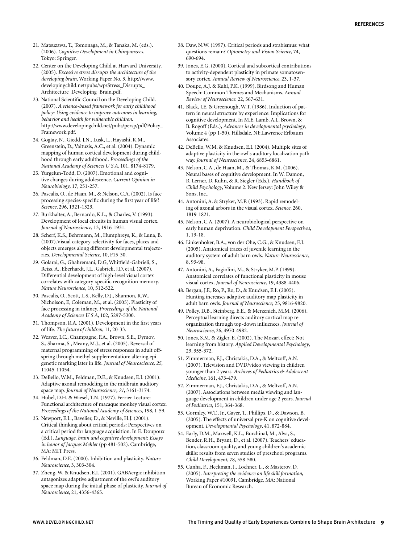- 21. Matsuzawa, T., Tomonaga, M., & Tanaka, M. (eds.). (2006). *Cognitive Development in Chimpanzees.*  Tokyo: Springer.
- 22. Center on the Developing Child at Harvard University. (2005). *Excessive stress disrupts the architecture of the developing brain*, Working Paper No. 3. http://www. developingchild.net/pubs/wp/Stress\_Disrupts\_ Architecture\_Developing\_Brain.pdf.
- 23. National Scientific Council on the Developing Child. (2007). *A science-based framework for early childhood policy: Using evidence to improve outcomes in learning, behavior and health for vulnerable children*. http://www.developingchild.net/pubs/persp/pdf/Policy\_ Framework.pdf.
- 24. Gogtay, N., Giedd, J.N., Lusk, L., Hayashi, K.M., Greenstein, D., Vaituzis, A.C., et al. (2004). Dynamic mapping of human cortical development during childhood through early adulthood. *Proceedings of the National Academy of Sciences U S A*, 101, 8174-8179.
- 25. Yurgelun-Todd, D. (2007). Emotional and cognitive changes during adolescence. *Current Opinion in Neurobiology*, 17, 251-257.
- 26. Pascalis, O., de Haan, M., & Nelson, C.A. (2002). Is face processing species-specific during the first year of life? *Science*, 296, 1321-1323.
- 27. Burkhalter, A., Bernardo, K.L., & Charles, V. (1993). Development of local circuits in human visual cortex. *Journal of Neuroscience*, 13, 1916-1931.
- 28. Scherf, K.S., Behrmann, M., Humphreys, K., & Luna, B. (2007).Visual category-selectivity for faces, places and objects emerges along different developmental trajectories. *Developmental Science*, 10, F15-30.
- 29. Golarai, G., Ghahremani, D.G, Whitfield-Gabrieli, S., Reiss, A., Eberhardt, J.L., Gabrieli, J.D, et al. (2007). Differential development of high-level visual cortex correlates with category-specific recognition memory. *Nature Neuroscience,* 10, 512-522.
- 30. Pascalis, O., Scott, L.S., Kelly, D.J., Shannon, R.W., Nicholson, E, Coleman, M., et al. (2005). Plasticity of face processing in infancy. *Proceedings of the National Academy of Sciences U S A*, 102, 5297-5300.
- 31. Thompson, R.A. (2001). Development in the first years of life. *The future of children*, 11, 20-33.
- 32. Weaver, I.C., Champagne, F.A., Brown, S.E., Dymov, S., Sharma, S., Meany, M.J., et al. (2005). Reversal of maternal programming of stress responses in adult offspring through methyl supplementation: altering epigenetic marking later in life. *Journal of Neuroscience, 25*, 11045-11054.
- 33. DeBello, W.M., Feldman, D.E., & Knudsen, E.I. (2001). Adaptive axonal remodeling in the midbrain auditory space map. *Journal of Neuroscience, 21*, 3161-3174.
- 34. Hubel, D.H. & Wiesel, T.N. (1977). Ferrier Lecture: Functional architecture of macaque monkey visual cortex. *Proceedings of the National Academy of Sciences*, 198, 1-59.
- 35. Newport, E.L., Bavelier, D., & Neville, H.J. (2001). Critical thinking about critical periods: Perspectives on a critical period for language acquisition. In E. Doupoux (Ed.), *Language, brain and cognitive development: Essays in honor of Jacques Mehler* (pp 481-502). Cambridge, MA: MIT Press.
- 36. Feldman, D.E. (2000). Inhibition and plasticity. *Nature Neuroscience*, 3, 303-304.
- 37. Zheng, W. & Knudsen, E.I. (2001). GABAergic inhibition antagonizes adaptive adjustment of the owl's auditory space map during the initial phase of plasticity. *Journal of Neuroscience*, 21, 4356-4365.
- 38. Daw, N.W. (1997). Critical periods and strabismus: what questions remain? *Optometry and Vision Science*, 74, 690-694.
- 39. Jones, E.G. (2000). Cortical and subcortical contributions to activity-dependent plasticity in primate somatosensory cortex. *Annual Review of Neuroscience*, 23, 1-37.
- 40. Doupe, A.J. & Kuhl, P.K. (1999). Birdsong and Human Speech: Common Themes and Mechanisms. *Annual Review of Neuroscience*. 22, 567-631.
- 41. Black, J.E. & Greenough, W.T. (1986). Induction of pattern in neural structure by experience: Implications for cognitive development. In M.E. Lamb, A.L. Brown, & B. Rogoff (Eds.), *Advances in developmental psychology*, Volume 4 (pp 1-50). Hillsdale, NJ:.Lawrence Erlbaum Associates.
- 42. DeBello, W.M. & Knudsen, E.I. (2004). Multiple sites of adaptive plasticity in the owl's auditory localization pathway. *Journal of Neuroscience*, 24, 6853-6861.
- 43. Nelson, C.A., de Haan, M., & Thomas, K.M. (2006). Neural bases of cognitive development. In W. Damon, R. Lerner, D. Kuhn, & R. Siegler (Eds.), *Handbook of Child Psychology*, Volume 2. New Jersey: John Wiley & Sons, Inc..
- 44. Antonini, A. & Stryker, M.P. (1993). Rapid remodeling of axonal arbors in the visual cortex. *Science*, 260, 1819-1821.
- 45. Nelson, C.A. (2007). A neurobiological perspective on early human deprivation. *Child Development Perspectives*, 1, 13-18.
- 46. Linkenhoker, B.A., von der Ohe, C.G., & Knudsen, E.I. (2005). Anatomical traces of juvenile learning in the auditory system of adult barn owls. *Nature Neuroscience*, 8, 93-98.
- 47. Antonini, A., Fagiolini, M., & Stryker, M.P. (1999). Anatomical correlates of functional plasticity in mouse visual cortex. *Journal of Neuroscience*, 19, 4388-4406.
- 48. Bergan, J.F., Ro, P., Ro, D., & Knudsen, E.I. (2005). Hunting increases adaptive auditory map plasticity in adult barn owls. *Journal of Neuroscience*, 25, 9816-9820.
- 49. Polley, D.B., Steinberg, E.E., & Merzenich, M.M. (2006). Perceptual learning directs auditory cortical map reorganization through top-down influences. *Journal of Neuroscience*, 26, 4970-4982.
- 50. Jones, S.M. & Zigler, E. (2002). The Mozart effect: Not learning from history. *Applied Developmental Psychology*, 23, 355-372.
- 51. Zimmerman, F.J., Christakis, D.A., & Meltzoff, A.N. (2007). Television and DVD/video viewing in children younger than 2 years. *Archives of Pediatrics & Adolescent Medicine*, 161, 473-479.
- 52. Zimmerman, F.J., Christakis, D.A., & Meltzoff, A.N. (2007). Associations between media viewing and language development in children under age 2 years. *Journal of Pediatrics*, 151, 364-368.
- 53. Gormley, W.T., Jr., Gayer, T., Phillips, D., & Dawson, B. (2005). The effects of universal pre-K on cognitive development. *Developmental Psychology*, 41, 872-884.
- 54. Early, D.M., Maxwell, K.L., Burchinal, M., Alva, S., Bender, R.H., Bryant, D., et al. (2007). Teachers' education, classroom quality, and young children's academic skills: results from seven studies of preschool programs. *Child Development*, 78, 558-580.
- 55. Cunha, F., Heckman, J., Lochner, L., & Masterov, D. (2005). *Interpreting the evidence on life skill formation*, Working Paper #10091. Cambridge, MA: National Bureau of Economic Research.